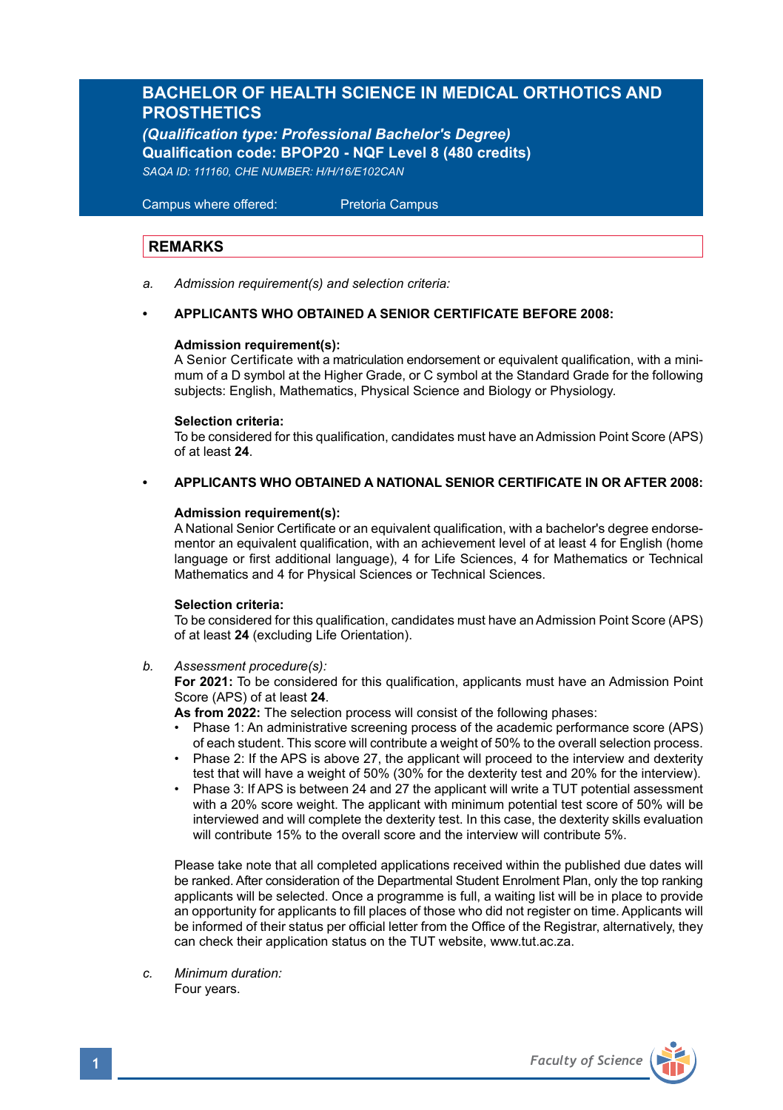# **BACHELOR OF HEALTH SCIENCE IN MEDICAL ORTHOTICS AND PROSTHETICS**

*(Qualification type: Professional Bachelor's Degree)* **Qualification code: BPOP20 - NQF Level 8 (480 credits)** *SAQA ID: 111160, CHE NUMBER: H/H/16/E102CAN*

 Campus where offered: Pretoria Campus

# **REMARKS**

*a. Admission requirement(s) and selection criteria:*

### **• APPLICANTS WHO OBTAINED A SENIOR CERTIFICATE BEFORE 2008:**

### **Admission requirement(s):**

A Senior Certificate with a matriculation endorsement or equivalent qualification, with a minimum of a D symbol at the Higher Grade, or C symbol at the Standard Grade for the following subjects: English, Mathematics, Physical Science and Biology or Physiology.

### **Selection criteria:**

To be considered for this qualification, candidates must have an Admission Point Score (APS) of at least **24**.

**• APPLICANTS WHO OBTAINED A NATIONAL SENIOR CERTIFICATE IN OR AFTER 2008:**

### **Admission requirement(s):**

A National Senior Certificate or an equivalent qualification, with a bachelor's degree endorsementor an equivalent qualification, with an achievement level of at least 4 for English (home language or first additional language), 4 for Life Sciences, 4 for Mathematics or Technical Mathematics and 4 for Physical Sciences or Technical Sciences.

### **Selection criteria:**

To be considered for this qualification, candidates must have an Admission Point Score (APS) of at least **24** (excluding Life Orientation).

*b. Assessment procedure(s):*

**For 2021:** To be considered for this qualification, applicants must have an Admission Point Score (APS) of at least **24**.

**As from 2022:** The selection process will consist of the following phases:

- Phase 1: An administrative screening process of the academic performance score (APS) of each student. This score will contribute a weight of 50% to the overall selection process.
- Phase 2: If the APS is above 27, the applicant will proceed to the interview and dexterity test that will have a weight of 50% (30% for the dexterity test and 20% for the interview).
- Phase 3: If APS is between 24 and 27 the applicant will write a TUT potential assessment with a 20% score weight. The applicant with minimum potential test score of 50% will be interviewed and will complete the dexterity test. In this case, the dexterity skills evaluation will contribute 15% to the overall score and the interview will contribute 5%

Please take note that all completed applications received within the published due dates will be ranked. After consideration of the Departmental Student Enrolment Plan, only the top ranking applicants will be selected. Once a programme is full, a waiting list will be in place to provide an opportunity for applicants to fill places of those who did not register on time. Applicants will be informed of their status per official letter from the Office of the Registrar, alternatively, they can check their application status on the TUT website, www.tut.ac.za.

*c. Minimum duration:* Four years.

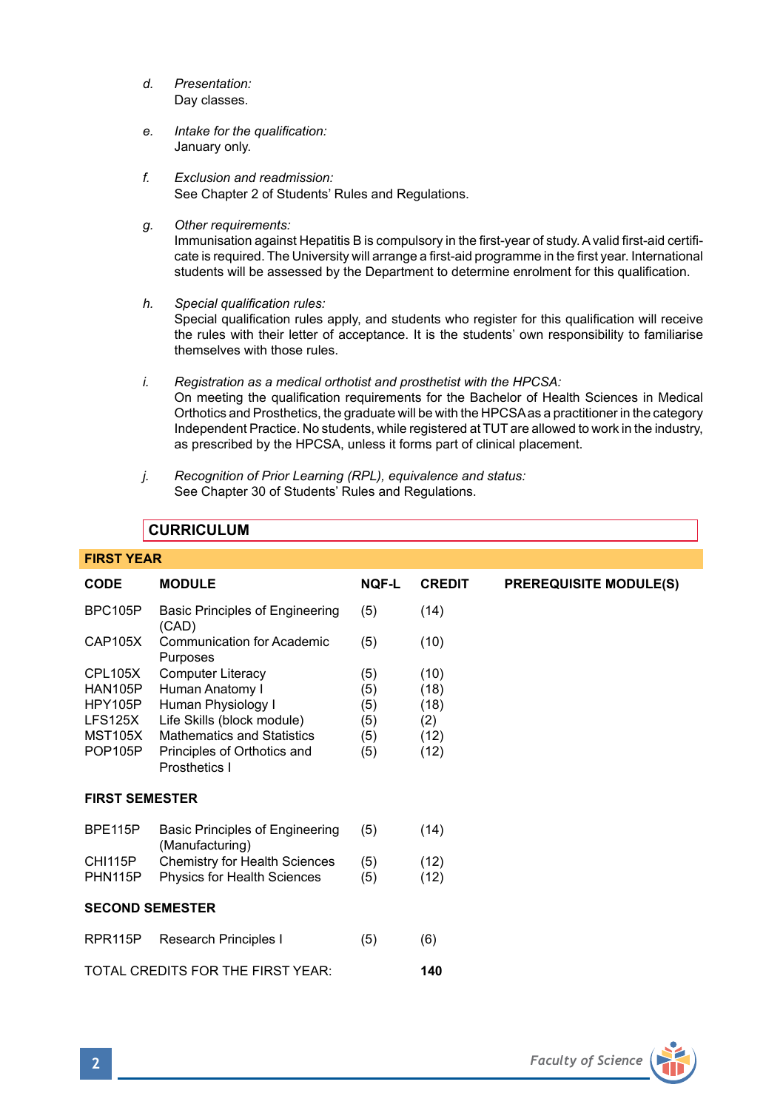- *d. Presentation:*  Day classes.
- *e. Intake for the qualification:*  January only.
- *f. Exclusion and readmission:* See Chapter 2 of Students' Rules and Regulations.
- *g. Other requirements:*

Immunisation against Hepatitis B is compulsory in the first-year of study. A valid first-aid certificate is required. The University will arrange a first-aid programme in the first year. International students will be assessed by the Department to determine enrolment for this qualification.

*h. Special qualification rules:*

Special qualification rules apply, and students who register for this qualification will receive the rules with their letter of acceptance. It is the students' own responsibility to familiarise themselves with those rules.

- *i. Registration as a medical orthotist and prosthetist with the HPCSA:*  On meeting the qualification requirements for the Bachelor of Health Sciences in Medical Orthotics and Prosthetics, the graduate will be with the HPCSA as a practitioner in the category Independent Practice. No students, while registered at TUT are allowed to work in the industry, as prescribed by the HPCSA, unless it forms part of clinical placement.
- *j. Recognition of Prior Learning (RPL), equivalence and status:* See Chapter 30 of Students' Rules and Regulations.

# **CURRICULUM**

| <b>FIRST YEAR</b>                                                            |                                                                                                                                                                        |                                        |                                             |                               |  |
|------------------------------------------------------------------------------|------------------------------------------------------------------------------------------------------------------------------------------------------------------------|----------------------------------------|---------------------------------------------|-------------------------------|--|
| <b>CODE</b>                                                                  | <b>MODULE</b>                                                                                                                                                          | <b>NQF-L</b>                           | <b>CREDIT</b>                               | <b>PREREQUISITE MODULE(S)</b> |  |
| BPC105P                                                                      | Basic Principles of Engineering<br>(CAD)                                                                                                                               | (5)                                    | (14)                                        |                               |  |
| CAP105X                                                                      | <b>Communication for Academic</b><br>Purposes                                                                                                                          | (5)                                    | (10)                                        |                               |  |
| CPL105X<br>HAN105P<br>HPY105P<br>LFS125X<br><b>MST105X</b><br><b>POP105P</b> | Computer Literacy<br>Human Anatomy I<br>Human Physiology I<br>Life Skills (block module)<br>Mathematics and Statistics<br>Principles of Orthotics and<br>Prosthetics I | (5)<br>(5)<br>(5)<br>(5)<br>(5)<br>(5) | (10)<br>(18)<br>(18)<br>(2)<br>(12)<br>(12) |                               |  |
| <b>FIRST SEMESTER</b>                                                        |                                                                                                                                                                        |                                        |                                             |                               |  |
| BPE115P                                                                      | Basic Principles of Engineering<br>(Manufacturing)                                                                                                                     | (5)                                    | (14)                                        |                               |  |
| CHI115P<br>PHN115P                                                           | Chemistry for Health Sciences<br><b>Physics for Health Sciences</b>                                                                                                    | (5)<br>(5)                             | (12)<br>(12)                                |                               |  |
| <b>SECOND SEMESTER</b>                                                       |                                                                                                                                                                        |                                        |                                             |                               |  |
| RPR <sub>115</sub> P                                                         | Research Principles I                                                                                                                                                  | (5)                                    | (6)                                         |                               |  |
| TOTAL CREDITS FOR THE FIRST YEAR:<br>140                                     |                                                                                                                                                                        |                                        |                                             |                               |  |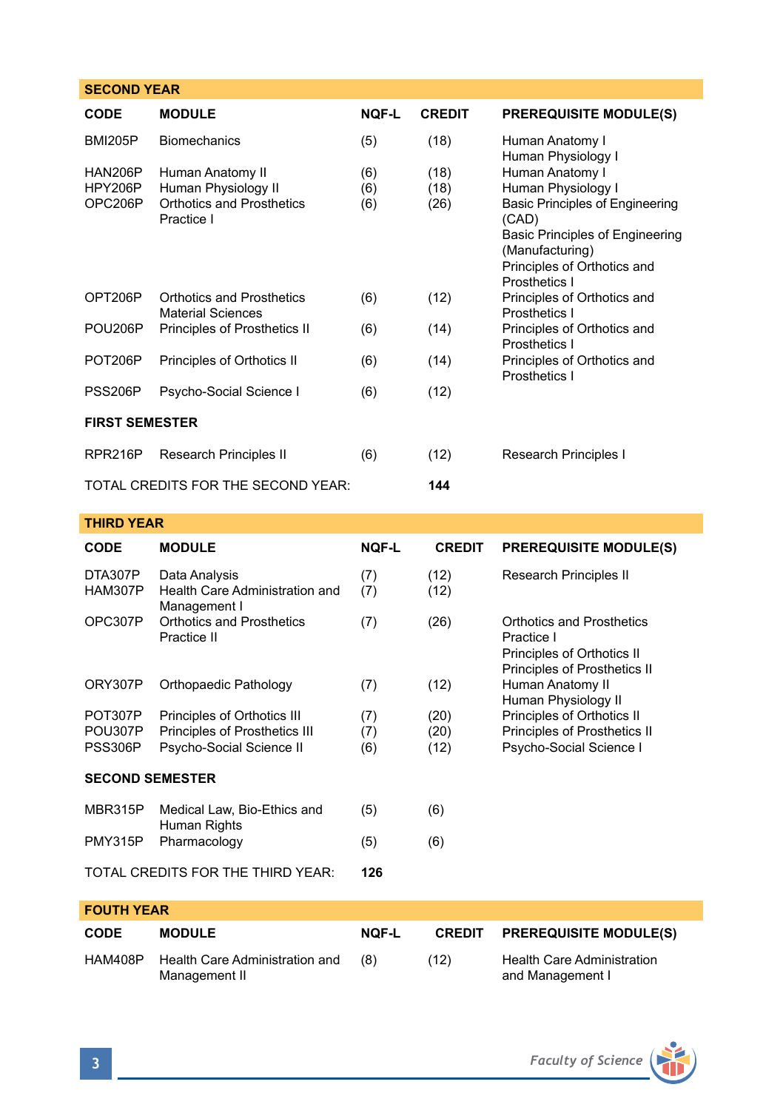# **SECOND YEAR CODE MODULE NQF-L CREDIT PREREQUISITE MODULE(S)** BMI205P Biomechanics (5) (18) Human Anatomy I Human Physiology I<br>Human Anatomy I HAN206P Human Anatomy II (6) (18) Human Anatomy I<br>HPY206P Human Physiology II (6) (18) Human Physiology I HPY206P Human Physiology II (6) (18)<br>OPC206P Orthotics and Prosthetics (6) (26) Orthotics and Prosthetics (6) (26) Basic Principles of Engineering<br>Practice I (CAD) Practice I (CAD) Basic Principles of Engineering (Manufacturing) Principles of Orthotics and Prosthetics I OPT206P Orthotics and Prosthetics (6) (12) Principles of Orthotics and<br>Material Sciences (12) Prosthetics I Material Sciences<br>
Principles of Prosthetics II (6) (14) Principles of Orthotics and POU206P Principles of Prosthetics II Prosthetics I POT206P Principles of Orthotics II (6) (14) Principles of Orthotics and Prosthetics I PSS206P Psycho-Social Science I (6) (12) **FIRST SEMESTER** RPR216P Research Principles II (6) (12) Research Principles I TOTAL CREDITS FOR THE SECOND YEAR: **144**

### **THIRD YEAR**

| <b>CODE</b>                              | <b>MODULE</b>                                                   | <b>NQF-L</b> | <b>CREDIT</b> | <b>PREREQUISITE MODULE(S)</b>                                                                         |  |
|------------------------------------------|-----------------------------------------------------------------|--------------|---------------|-------------------------------------------------------------------------------------------------------|--|
| DTA307P<br><b>HAM307P</b>                | Data Analysis<br>Health Care Administration and<br>Management I | (7)<br>(7)   | (12)<br>(12)  | Research Principles II                                                                                |  |
| OPC307P                                  | Orthotics and Prosthetics<br>Practice II                        | (7)          | (26)          | Orthotics and Prosthetics<br>Practice I<br>Principles of Orthotics II<br>Principles of Prosthetics II |  |
| ORY307P                                  | Orthopaedic Pathology                                           | (7)          | (12)          | Human Anatomy II<br>Human Physiology II                                                               |  |
| POT307P                                  | Principles of Orthotics III                                     | (7)          | (20)          | Principles of Orthotics II                                                                            |  |
| POU307P                                  | Principles of Prosthetics III                                   | (7)          | (20)          | Principles of Prosthetics II                                                                          |  |
| PSS306P                                  | Psycho-Social Science II                                        | (6)          | (12)          | Psycho-Social Science I                                                                               |  |
| <b>SECOND SEMESTER</b>                   |                                                                 |              |               |                                                                                                       |  |
| MBR315P                                  | Medical Law, Bio-Ethics and<br>Human Rights                     | (5)          | (6)           |                                                                                                       |  |
| PMY315P                                  | Pharmacology                                                    | (5)          | (6)           |                                                                                                       |  |
| TOTAL CREDITS FOR THE THIRD YEAR:<br>126 |                                                                 |              |               |                                                                                                       |  |

| <b>FOUTH YEAR</b> |                                                 |              |      |                                                       |  |
|-------------------|-------------------------------------------------|--------------|------|-------------------------------------------------------|--|
| <b>CODE</b>       | <b>MODULE</b>                                   | <b>NOF-L</b> |      | <b>CREDIT PREREQUISITE MODULE(S)</b>                  |  |
| <b>HAM408P</b>    | Health Care Administration and<br>Management II | (8)          | (12) | <b>Health Care Administration</b><br>and Management I |  |

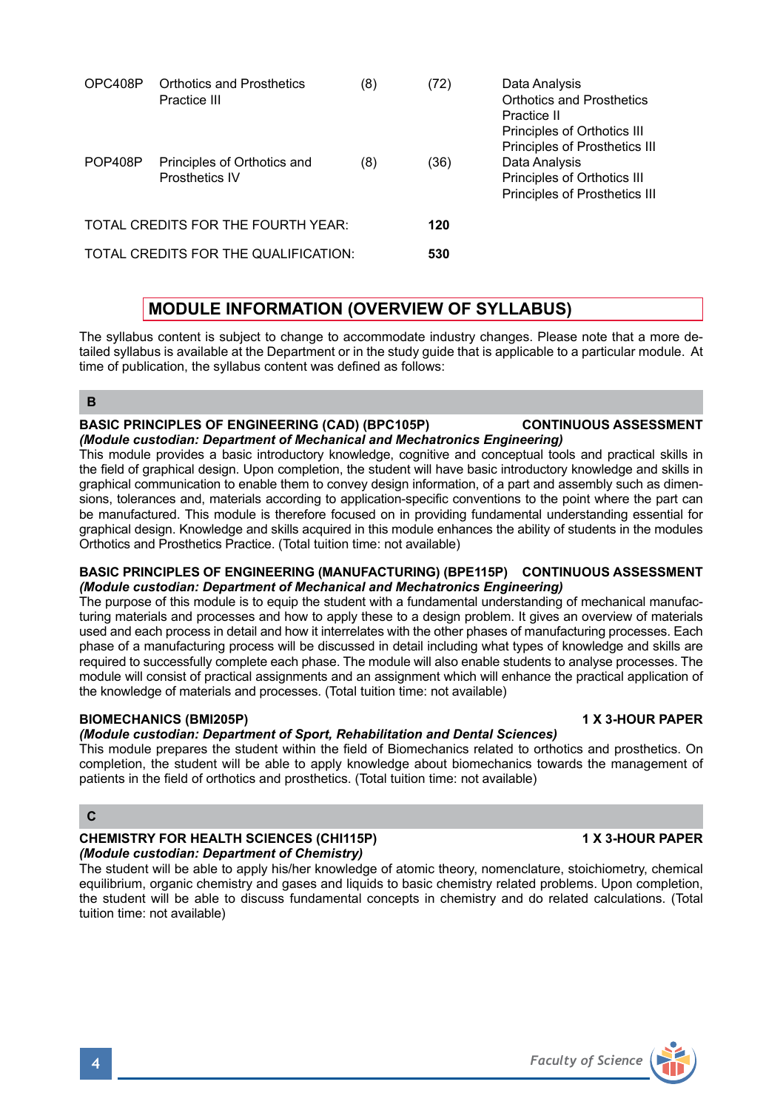| OPC408P                              | Orthotics and Prosthetics<br>Practice III     | (8) | (72) | Data Analysis<br>Orthotics and Prosthetics<br>Practice II<br>Principles of Orthotics III<br>Principles of Prosthetics III |
|--------------------------------------|-----------------------------------------------|-----|------|---------------------------------------------------------------------------------------------------------------------------|
| POP408P                              | Principles of Orthotics and<br>Prosthetics IV | (8) | (36) | Data Analysis<br>Principles of Orthotics III<br>Principles of Prosthetics III                                             |
| TOTAL CREDITS FOR THE FOURTH YEAR:   |                                               |     | 120  |                                                                                                                           |
| TOTAL CREDITS FOR THE QUALIFICATION: |                                               |     | 530  |                                                                                                                           |

# **MODULE INFORMATION (OVERVIEW OF SYLLABUS)**

The syllabus content is subject to change to accommodate industry changes. Please note that a more detailed syllabus is available at the Department or in the study guide that is applicable to a particular module. At time of publication, the syllabus content was defined as follows:

# **B**

### **BASIC PRINCIPLES OF ENGINEERING (CAD) (BPC105P) CONTINUOUS ASSESSMENT** *(Module custodian: Department of Mechanical and Mechatronics Engineering)*

This module provides a basic introductory knowledge, cognitive and conceptual tools and practical skills in the field of graphical design. Upon completion, the student will have basic introductory knowledge and skills in graphical communication to enable them to convey design information, of a part and assembly such as dimensions, tolerances and, materials according to application-specific conventions to the point where the part can be manufactured. This module is therefore focused on in providing fundamental understanding essential for graphical design. Knowledge and skills acquired in this module enhances the ability of students in the modules Orthotics and Prosthetics Practice. (Total tuition time: not available)

### **BASIC PRINCIPLES OF ENGINEERING (MANUFACTURING) (BPE115P) CONTINUOUS ASSESSMENT** *(Module custodian: Department of Mechanical and Mechatronics Engineering)*

The purpose of this module is to equip the student with a fundamental understanding of mechanical manufacturing materials and processes and how to apply these to a design problem. It gives an overview of materials used and each process in detail and how it interrelates with the other phases of manufacturing processes. Each phase of a manufacturing process will be discussed in detail including what types of knowledge and skills are required to successfully complete each phase. The module will also enable students to analyse processes. The module will consist of practical assignments and an assignment which will enhance the practical application of the knowledge of materials and processes. (Total tuition time: not available)

# **BIOMECHANICS (BMI205P) 1 X 3-HOUR PAPER**

# *(Module custodian: Department of Sport, Rehabilitation and Dental Sciences)*

This module prepares the student within the field of Biomechanics related to orthotics and prosthetics. On completion, the student will be able to apply knowledge about biomechanics towards the management of patients in the field of orthotics and prosthetics. (Total tuition time: not available)

# **C**

### **CHEMISTRY FOR HEALTH SCIENCES (CHI115P) 1 X 3-HOUR PAPER** *(Module custodian: Department of Chemistry)*

The student will be able to apply his/her knowledge of atomic theory, nomenclature, stoichiometry, chemical equilibrium, organic chemistry and gases and liquids to basic chemistry related problems. Upon completion, the student will be able to discuss fundamental concepts in chemistry and do related calculations. (Total tuition time: not available)

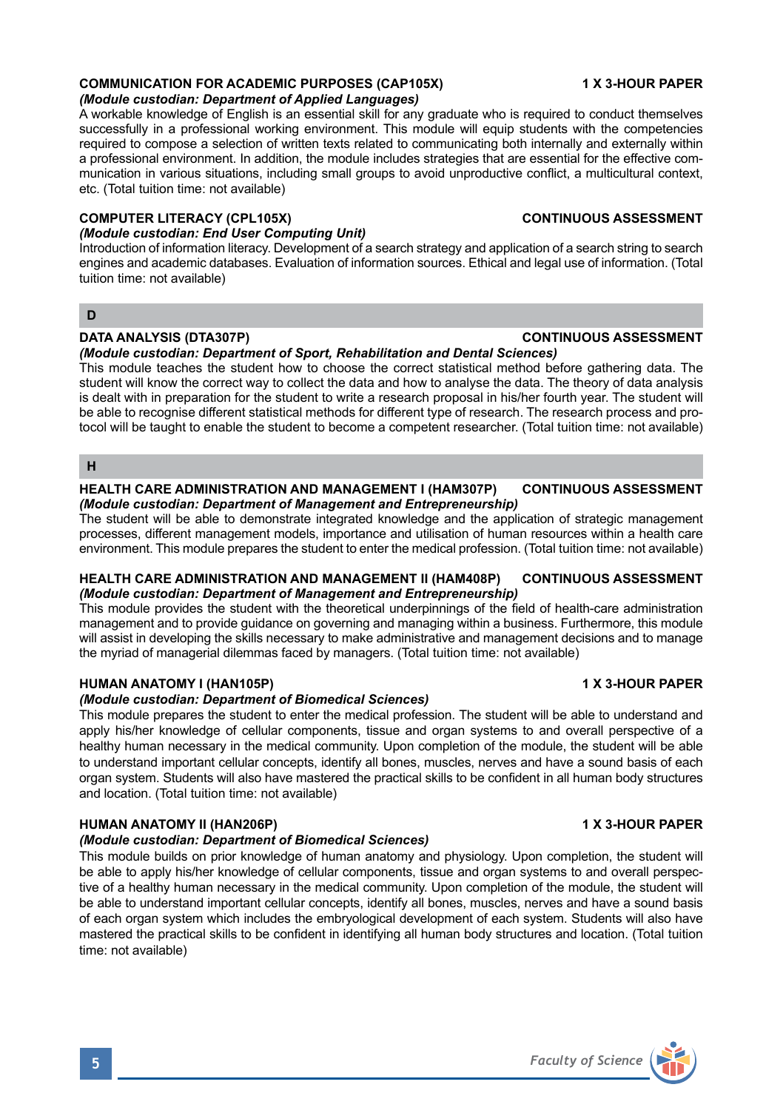# **COMMUNICATION FOR ACADEMIC PURPOSES (CAP105X) 1 X 3-HOUR PAPER**

*(Module custodian: Department of Applied Languages)* 

A workable knowledge of English is an essential skill for any graduate who is required to conduct themselves successfully in a professional working environment. This module will equip students with the competencies required to compose a selection of written texts related to communicating both internally and externally within a professional environment. In addition, the module includes strategies that are essential for the effective communication in various situations, including small groups to avoid unproductive conflict, a multicultural context, etc. (Total tuition time: not available)

### **COMPUTER LITERACY (CPL105X) CONTINUOUS ASSESSMENT**

# *(Module custodian: End User Computing Unit)*

Introduction of information literacy. Development of a search strategy and application of a search string to search engines and academic databases. Evaluation of information sources. Ethical and legal use of information. (Total tuition time: not available)

# **D**

# **DATA ANALYSIS (DTA307P) CONTINUOUS ASSESSMENT**

*(Module custodian: Department of Sport, Rehabilitation and Dental Sciences)* This module teaches the student how to choose the correct statistical method before gathering data. The student will know the correct way to collect the data and how to analyse the data. The theory of data analysis is dealt with in preparation for the student to write a research proposal in his/her fourth year. The student will be able to recognise different statistical methods for different type of research. The research process and protocol will be taught to enable the student to become a competent researcher. (Total tuition time: not available)

**H**

### **HEALTH CARE ADMINISTRATION AND MANAGEMENT I (HAM307P) CONTINUOUS ASSESSMENT** *(Module custodian: Department of Management and Entrepreneurship)*

The student will be able to demonstrate integrated knowledge and the application of strategic management processes, different management models, importance and utilisation of human resources within a health care environment. This module prepares the student to enter the medical profession. (Total tuition time: not available)

# **HEALTH CARE ADMINISTRATION AND MANAGEMENT II (HAM408P) CONTINUOUS ASSESSMENT** *(Module custodian: Department of Management and Entrepreneurship)*

This module provides the student with the theoretical underpinnings of the field of health-care administration management and to provide guidance on governing and managing within a business. Furthermore, this module will assist in developing the skills necessary to make administrative and management decisions and to manage the myriad of managerial dilemmas faced by managers. (Total tuition time: not available)

# **HUMAN ANATOMY I (HAN105P) 1 X 3-HOUR PAPER**

# *(Module custodian: Department of Biomedical Sciences)*

This module prepares the student to enter the medical profession. The student will be able to understand and apply his/her knowledge of cellular components, tissue and organ systems to and overall perspective of a healthy human necessary in the medical community. Upon completion of the module, the student will be able to understand important cellular concepts, identify all bones, muscles, nerves and have a sound basis of each organ system. Students will also have mastered the practical skills to be confident in all human body structures and location. (Total tuition time: not available)

# **HUMAN ANATOMY II (HAN206P) 1 X 3-HOUR PAPER**

# *(Module custodian: Department of Biomedical Sciences)*

This module builds on prior knowledge of human anatomy and physiology. Upon completion, the student will be able to apply his/her knowledge of cellular components, tissue and organ systems to and overall perspective of a healthy human necessary in the medical community. Upon completion of the module, the student will be able to understand important cellular concepts, identify all bones, muscles, nerves and have a sound basis of each organ system which includes the embryological development of each system. Students will also have mastered the practical skills to be confident in identifying all human body structures and location. (Total tuition time: not available)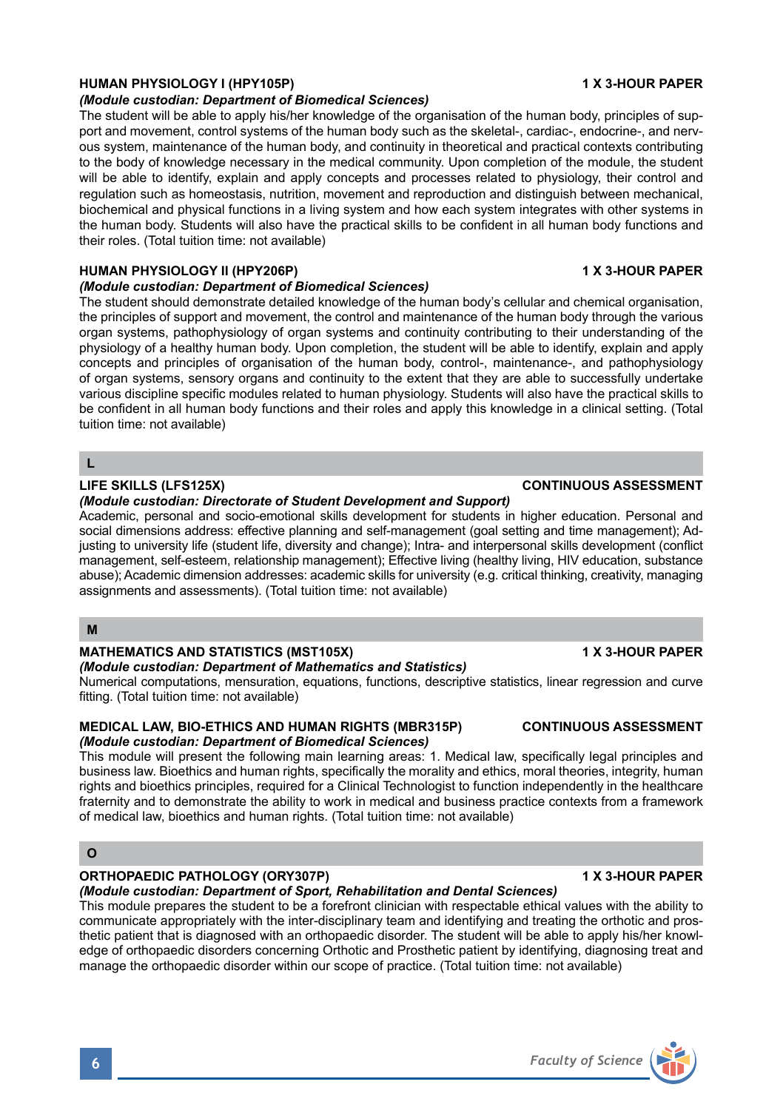# **HUMAN PHYSIOLOGY I (HPY105P) 1 X 3-HOUR PAPER**

# *(Module custodian: Department of Biomedical Sciences)*

The student will be able to apply his/her knowledge of the organisation of the human body, principles of support and movement, control systems of the human body such as the skeletal-, cardiac-, endocrine-, and nervous system, maintenance of the human body, and continuity in theoretical and practical contexts contributing to the body of knowledge necessary in the medical community. Upon completion of the module, the student will be able to identify, explain and apply concepts and processes related to physiology, their control and regulation such as homeostasis, nutrition, movement and reproduction and distinguish between mechanical, biochemical and physical functions in a living system and how each system integrates with other systems in the human body. Students will also have the practical skills to be confident in all human body functions and their roles. (Total tuition time: not available)

### **HUMAN PHYSIOLOGY II (HPY206P) 1 X 3-HOUR PAPER**

### *(Module custodian: Department of Biomedical Sciences)*

The student should demonstrate detailed knowledge of the human body's cellular and chemical organisation, the principles of support and movement, the control and maintenance of the human body through the various organ systems, pathophysiology of organ systems and continuity contributing to their understanding of the physiology of a healthy human body. Upon completion, the student will be able to identify, explain and apply concepts and principles of organisation of the human body, control-, maintenance-, and pathophysiology of organ systems, sensory organs and continuity to the extent that they are able to successfully undertake various discipline specific modules related to human physiology. Students will also have the practical skills to be confident in all human body functions and their roles and apply this knowledge in a clinical setting. (Total tuition time: not available)

# **L**

# **LIFE SKILLS (LFS125X) CONTINUOUS ASSESSMENT**

### *(Module custodian: Directorate of Student Development and Support)*

Academic, personal and socio-emotional skills development for students in higher education. Personal and social dimensions address: effective planning and self-management (goal setting and time management); Adjusting to university life (student life, diversity and change); Intra- and interpersonal skills development (conflict management, self-esteem, relationship management); Effective living (healthy living, HIV education, substance abuse); Academic dimension addresses: academic skills for university (e.g. critical thinking, creativity, managing assignments and assessments). (Total tuition time: not available)

# **M**

# MATHEMATICS AND STATISTICS (MST105X) **1 X 3-HOUR PAPER**

### *(Module custodian: Department of Mathematics and Statistics)*

Numerical computations, mensuration, equations, functions, descriptive statistics, linear regression and curve fitting. (Total tuition time: not available)

### **MEDICAL LAW, BIO-ETHICS AND HUMAN RIGHTS (MBR315P) CONTINUOUS ASSESSMENT** *(Module custodian: Department of Biomedical Sciences)*

This module will present the following main learning areas: 1. Medical law, specifically legal principles and business law. Bioethics and human rights, specifically the morality and ethics, moral theories, integrity, human rights and bioethics principles, required for a Clinical Technologist to function independently in the healthcare fraternity and to demonstrate the ability to work in medical and business practice contexts from a framework of medical law, bioethics and human rights. (Total tuition time: not available)

# **O**

# **ORTHOPAEDIC PATHOLOGY (ORY307P) 1 X 3-HOUR PAPER**

# *(Module custodian: Department of Sport, Rehabilitation and Dental Sciences)*

This module prepares the student to be a forefront clinician with respectable ethical values with the ability to communicate appropriately with the inter-disciplinary team and identifying and treating the orthotic and prosthetic patient that is diagnosed with an orthopaedic disorder. The student will be able to apply his/her knowledge of orthopaedic disorders concerning Orthotic and Prosthetic patient by identifying, diagnosing treat and manage the orthopaedic disorder within our scope of practice. (Total tuition time: not available)

# **6** *Faculty of Science*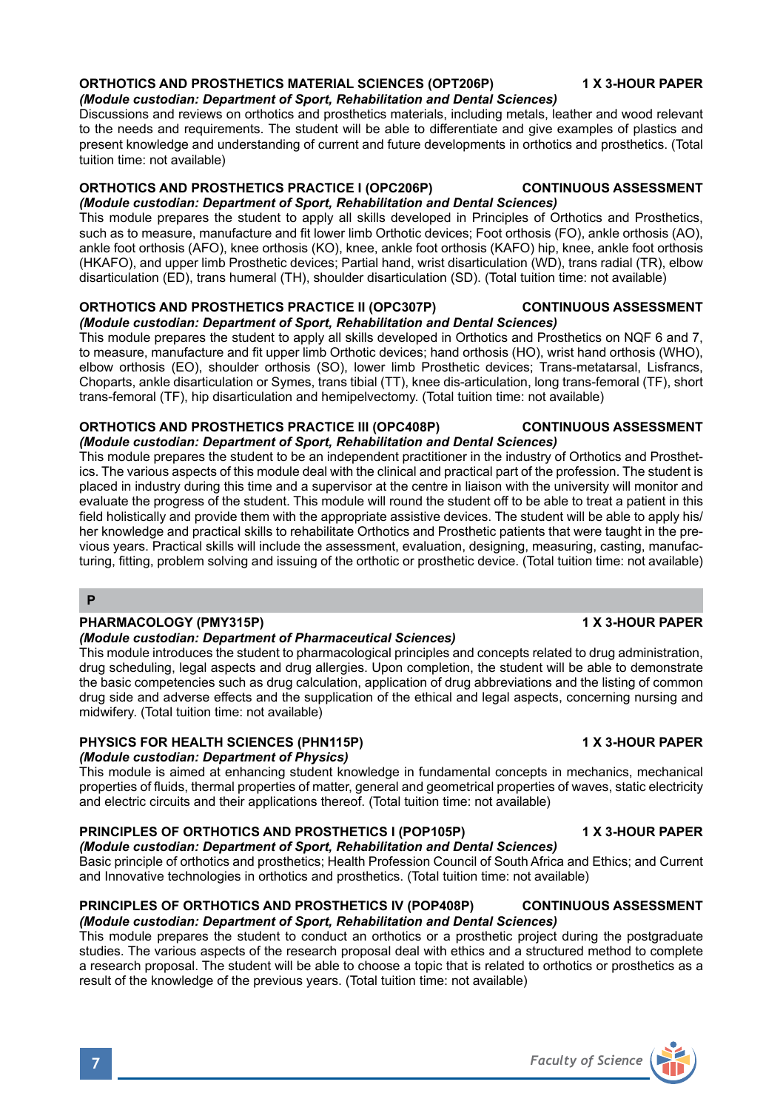# **ORTHOTICS AND PROSTHETICS MATERIAL SCIENCES (OPT206P) 1 X 3-HOUR PAPER**

*(Module custodian: Department of Sport, Rehabilitation and Dental Sciences)* Discussions and reviews on orthotics and prosthetics materials, including metals, leather and wood relevant to the needs and requirements. The student will be able to differentiate and give examples of plastics and present knowledge and understanding of current and future developments in orthotics and prosthetics. (Total tuition time: not available)

# **ORTHOTICS AND PROSTHETICS PRACTICE I (OPC206P) CONTINUOUS ASSESSMENT**

*(Module custodian: Department of Sport, Rehabilitation and Dental Sciences)* This module prepares the student to apply all skills developed in Principles of Orthotics and Prosthetics, such as to measure, manufacture and fit lower limb Orthotic devices; Foot orthosis (FO), ankle orthosis (AO), ankle foot orthosis (AFO), knee orthosis (KO), knee, ankle foot orthosis (KAFO) hip, knee, ankle foot orthosis (HKAFO), and upper limb Prosthetic devices; Partial hand, wrist disarticulation (WD), trans radial (TR), elbow disarticulation (ED), trans humeral (TH), shoulder disarticulation (SD). (Total tuition time: not available)

### **ORTHOTICS AND PROSTHETICS PRACTICE II (OPC307P) CONTINUOUS ASSESSMENT** *(Module custodian: Department of Sport, Rehabilitation and Dental Sciences)*

This module prepares the student to apply all skills developed in Orthotics and Prosthetics on NQF 6 and 7, to measure, manufacture and fit upper limb Orthotic devices; hand orthosis (HO), wrist hand orthosis (WHO), elbow orthosis (EO), shoulder orthosis (SO), lower limb Prosthetic devices; Trans-metatarsal, Lisfrancs, Choparts, ankle disarticulation or Symes, trans tibial (TT), knee dis-articulation, long trans-femoral (TF), short trans-femoral (TF), hip disarticulation and hemipelvectomy. (Total tuition time: not available)

### **ORTHOTICS AND PROSTHETICS PRACTICE III (OPC408P) CONTINUOUS ASSESSMENT** *(Module custodian: Department of Sport, Rehabilitation and Dental Sciences)*

This module prepares the student to be an independent practitioner in the industry of Orthotics and Prosthetics. The various aspects of this module deal with the clinical and practical part of the profession. The student is placed in industry during this time and a supervisor at the centre in liaison with the university will monitor and evaluate the progress of the student. This module will round the student off to be able to treat a patient in this field holistically and provide them with the appropriate assistive devices. The student will be able to apply his/ her knowledge and practical skills to rehabilitate Orthotics and Prosthetic patients that were taught in the previous years. Practical skills will include the assessment, evaluation, designing, measuring, casting, manufacturing, fitting, problem solving and issuing of the orthotic or prosthetic device. (Total tuition time: not available)

### **P**

# **PHARMACOLOGY (PMY315P) 1 X 3-HOUR PAPER**

# *(Module custodian: Department of Pharmaceutical Sciences)*

This module introduces the student to pharmacological principles and concepts related to drug administration, drug scheduling, legal aspects and drug allergies. Upon completion, the student will be able to demonstrate the basic competencies such as drug calculation, application of drug abbreviations and the listing of common drug side and adverse effects and the supplication of the ethical and legal aspects, concerning nursing and midwifery. (Total tuition time: not available)

# PHYSICS FOR HEALTH SCIENCES (PHN115P) **1 A 3-HOUR PAPER** 1 X 3-HOUR PAPER

# *(Module custodian: Department of Physics)*

This module is aimed at enhancing student knowledge in fundamental concepts in mechanics, mechanical properties of fluids, thermal properties of matter, general and geometrical properties of waves, static electricity and electric circuits and their applications thereof. (Total tuition time: not available)

# **PRINCIPLES OF ORTHOTICS AND PROSTHETICS I (POP105P) 1 X 3-HOUR PAPER**

*(Module custodian: Department of Sport, Rehabilitation and Dental Sciences)* Basic principle of orthotics and prosthetics; Health Profession Council of South Africa and Ethics; and Current and Innovative technologies in orthotics and prosthetics. (Total tuition time: not available)

# **PRINCIPLES OF ORTHOTICS AND PROSTHETICS IV (POP408P) CONTINUOUS ASSESSMENT** *(Module custodian: Department of Sport, Rehabilitation and Dental Sciences)*

This module prepares the student to conduct an orthotics or a prosthetic project during the postgraduate studies. The various aspects of the research proposal deal with ethics and a structured method to complete a research proposal. The student will be able to choose a topic that is related to orthotics or prosthetics as a result of the knowledge of the previous years. (Total tuition time: not available)

**7** *Faculty of Science*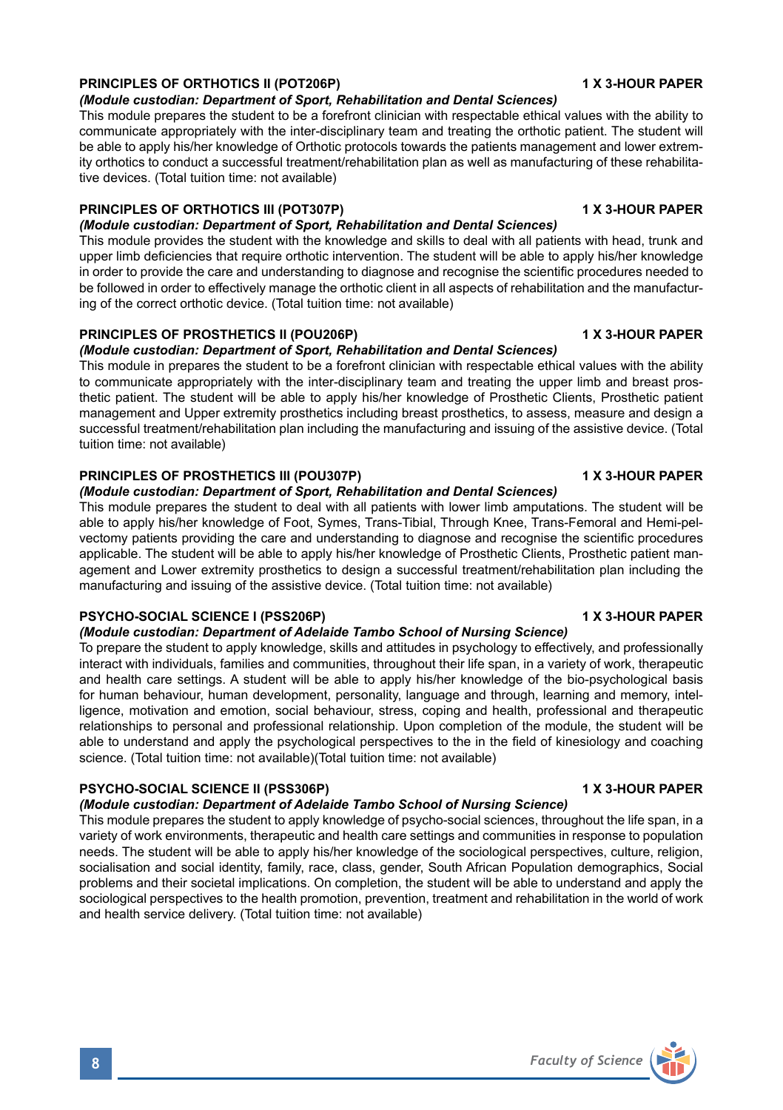# **PRINCIPLES OF ORTHOTICS II (POT206P)** 1 X 3-HOUR PAPER

### *(Module custodian: Department of Sport, Rehabilitation and Dental Sciences)*

This module prepares the student to be a forefront clinician with respectable ethical values with the ability to communicate appropriately with the inter-disciplinary team and treating the orthotic patient. The student will be able to apply his/her knowledge of Orthotic protocols towards the patients management and lower extremity orthotics to conduct a successful treatment/rehabilitation plan as well as manufacturing of these rehabilitative devices. (Total tuition time: not available)

# **PRINCIPLES OF ORTHOTICS III (POT307P)** 1 X 3-HOUR PAPER

*(Module custodian: Department of Sport, Rehabilitation and Dental Sciences)* This module provides the student with the knowledge and skills to deal with all patients with head, trunk and upper limb deficiencies that require orthotic intervention. The student will be able to apply his/her knowledge in order to provide the care and understanding to diagnose and recognise the scientific procedures needed to be followed in order to effectively manage the orthotic client in all aspects of rehabilitation and the manufacturing of the correct orthotic device. (Total tuition time: not available)

# **PRINCIPLES OF PROSTHETICS II (POU206P)** 1 X 3-HOUR PAPER

# *(Module custodian: Department of Sport, Rehabilitation and Dental Sciences)*

This module in prepares the student to be a forefront clinician with respectable ethical values with the ability to communicate appropriately with the inter-disciplinary team and treating the upper limb and breast prosthetic patient. The student will be able to apply his/her knowledge of Prosthetic Clients, Prosthetic patient management and Upper extremity prosthetics including breast prosthetics, to assess, measure and design a successful treatment/rehabilitation plan including the manufacturing and issuing of the assistive device. (Total tuition time: not available)

# **PRINCIPLES OF PROSTHETICS III (POU307P) 1 X 3-HOUR PAPER**

### *(Module custodian: Department of Sport, Rehabilitation and Dental Sciences)*

This module prepares the student to deal with all patients with lower limb amputations. The student will be able to apply his/her knowledge of Foot, Symes, Trans-Tibial, Through Knee, Trans-Femoral and Hemi-pelvectomy patients providing the care and understanding to diagnose and recognise the scientific procedures applicable. The student will be able to apply his/her knowledge of Prosthetic Clients, Prosthetic patient management and Lower extremity prosthetics to design a successful treatment/rehabilitation plan including the manufacturing and issuing of the assistive device. (Total tuition time: not available)

# PSYCHO-SOCIAL SCIENCE I (PSS206P) **1 X 3-HOUR PAPER**

# *(Module custodian: Department of Adelaide Tambo School of Nursing Science)*

To prepare the student to apply knowledge, skills and attitudes in psychology to effectively, and professionally interact with individuals, families and communities, throughout their life span, in a variety of work, therapeutic and health care settings. A student will be able to apply his/her knowledge of the bio-psychological basis for human behaviour, human development, personality, language and through, learning and memory, intelligence, motivation and emotion, social behaviour, stress, coping and health, professional and therapeutic relationships to personal and professional relationship. Upon completion of the module, the student will be able to understand and apply the psychological perspectives to the in the field of kinesiology and coaching science. (Total tuition time: not available)(Total tuition time: not available)

# **PSYCHO-SOCIAL SCIENCE II (PSS306P)** 1 X 3-HOUR PAPER

# *(Module custodian: Department of Adelaide Tambo School of Nursing Science)*

This module prepares the student to apply knowledge of psycho-social sciences, throughout the life span, in a variety of work environments, therapeutic and health care settings and communities in response to population needs. The student will be able to apply his/her knowledge of the sociological perspectives, culture, religion, socialisation and social identity, family, race, class, gender, South African Population demographics, Social problems and their societal implications. On completion, the student will be able to understand and apply the sociological perspectives to the health promotion, prevention, treatment and rehabilitation in the world of work and health service delivery. (Total tuition time: not available)